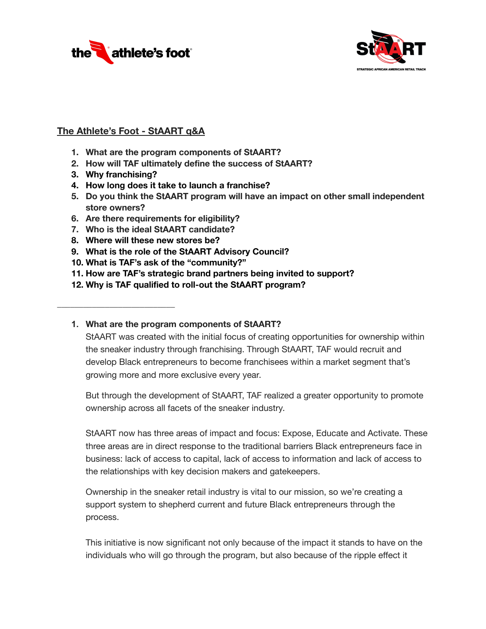



## **The Athlete's Foot - StAART q&A**

- **1. What are the program components of StAART?**
- **2. How will TAF ultimately define the success of StAART?**
- **3. Why franchising?**

**\_\_\_\_\_\_\_\_\_\_\_\_\_\_\_\_\_\_\_\_\_\_\_\_\_\_\_**

- **4. How long does it take to launch a franchise?**
- **5. Do you think the StAART program will have an impact on other small independent store owners?**
- **6. Are there requirements for eligibility?**
- **7. Who is the ideal StAART candidate?**
- **8. Where will these new stores be?**
- **9. What is the role of the StAART Advisory Council?**
- **10. What is TAF's ask of the "community?"**
- **11. How are TAF's strategic brand partners being invited to support?**
- **12. Why is TAF qualified to roll-out the StAART program?**

### **1. What are the program components of StAART?**

StAART was created with the initial focus of creating opportunities for ownership within the sneaker industry through franchising. Through StAART, TAF would recruit and develop Black entrepreneurs to become franchisees within a market segment that's growing more and more exclusive every year.

But through the development of StAART, TAF realized a greater opportunity to promote ownership across all facets of the sneaker industry.

StAART now has three areas of impact and focus: Expose, Educate and Activate. These three areas are in direct response to the traditional barriers Black entrepreneurs face in business: lack of access to capital, lack of access to information and lack of access to the relationships with key decision makers and gatekeepers.

Ownership in the sneaker retail industry is vital to our mission, so we're creating a support system to shepherd current and future Black entrepreneurs through the process.

This initiative is now significant not only because of the impact it stands to have on the individuals who will go through the program, but also because of the ripple effect it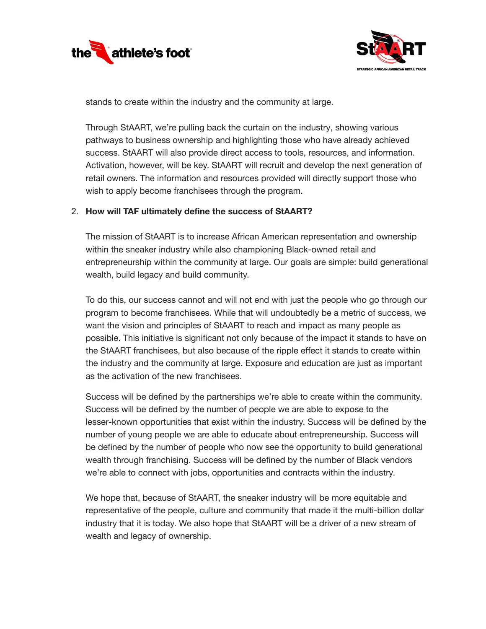



stands to create within the industry and the community at large.

Through StAART, we're pulling back the curtain on the industry, showing various pathways to business ownership and highlighting those who have already achieved success. StAART will also provide direct access to tools, resources, and information. Activation, however, will be key. StAART will recruit and develop the next generation of retail owners. The information and resources provided will directly support those who wish to apply become franchisees through the program.

### 2. **How will TAF ultimately define the success of StAART?**

The mission of StAART is to increase African American representation and ownership within the sneaker industry while also championing Black-owned retail and entrepreneurship within the community at large. Our goals are simple: build generational wealth, build legacy and build community.

To do this, our success cannot and will not end with just the people who go through our program to become franchisees. While that will undoubtedly be a metric of success, we want the vision and principles of StAART to reach and impact as many people as possible. This initiative is significant not only because of the impact it stands to have on the StAART franchisees, but also because of the ripple effect it stands to create within the industry and the community at large. Exposure and education are just as important as the activation of the new franchisees.

Success will be defined by the partnerships we're able to create within the community. Success will be defined by the number of people we are able to expose to the lesser-known opportunities that exist within the industry. Success will be defined by the number of young people we are able to educate about entrepreneurship. Success will be defined by the number of people who now see the opportunity to build generational wealth through franchising. Success will be defined by the number of Black vendors we're able to connect with jobs, opportunities and contracts within the industry.

We hope that, because of StAART, the sneaker industry will be more equitable and representative of the people, culture and community that made it the multi-billion dollar industry that it is today. We also hope that StAART will be a driver of a new stream of wealth and legacy of ownership.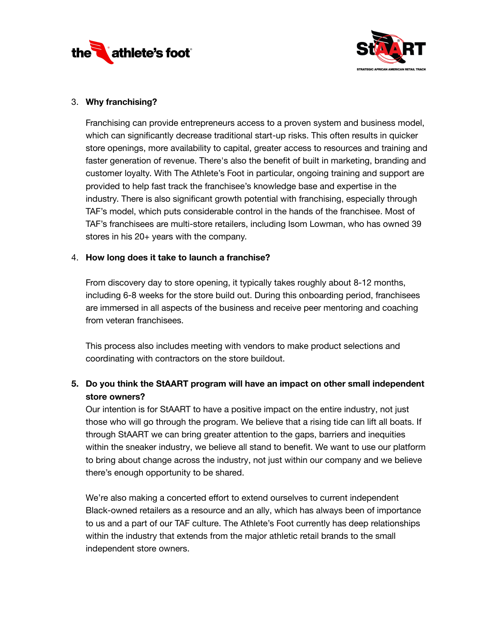



## 3. **Why franchising?**

Franchising can provide entrepreneurs access to a proven system and business model, which can significantly decrease traditional start-up risks. This often results in quicker store openings, more availability to capital, greater access to resources and training and faster generation of revenue. There's also the benefit of built in marketing, branding and customer loyalty. With The Athlete's Foot in particular, ongoing training and support are provided to help fast track the franchisee's knowledge base and expertise in the industry. There is also significant growth potential with franchising, especially through TAF's model, which puts considerable control in the hands of the franchisee. Most of TAF's franchisees are multi-store retailers, including Isom Lowman, who has owned 39 stores in his 20+ years with the company.

### 4. **How long does it take to launch a franchise?**

From discovery day to store opening, it typically takes roughly about 8-12 months, including 6-8 weeks for the store build out. During this onboarding period, franchisees are immersed in all aspects of the business and receive peer mentoring and coaching from veteran franchisees.

This process also includes meeting with vendors to make product selections and coordinating with contractors on the store buildout.

# **5. Do you think the StAART program will have an impact on other small independent store owners?**

Our intention is for StAART to have a positive impact on the entire industry, not just those who will go through the program. We believe that a rising tide can lift all boats. If through StAART we can bring greater attention to the gaps, barriers and inequities within the sneaker industry, we believe all stand to benefit. We want to use our platform to bring about change across the industry, not just within our company and we believe there's enough opportunity to be shared.

We're also making a concerted effort to extend ourselves to current independent Black-owned retailers as a resource and an ally, which has always been of importance to us and a part of our TAF culture. The Athlete's Foot currently has deep relationships within the industry that extends from the major athletic retail brands to the small independent store owners.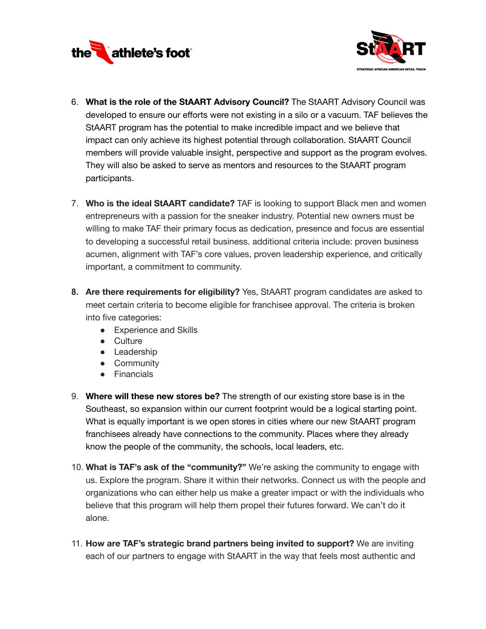



- 6. **What is the role of the StAART Advisory Council?** The StAART Advisory Council was developed to ensure our efforts were not existing in a silo or a vacuum. TAF believes the StAART program has the potential to make incredible impact and we believe that impact can only achieve its highest potential through collaboration. StAART Council members will provide valuable insight, perspective and support as the program evolves. They will also be asked to serve as mentors and resources to the StAART program participants.
- 7. **Who is the ideal StAART candidate?** TAF is looking to support Black men and women entrepreneurs with a passion for the sneaker industry. Potential new owners must be willing to make TAF their primary focus as dedication, presence and focus are essential to developing a successful retail business. additional criteria include: proven business acumen, alignment with TAF's core values, proven leadership experience, and critically important, a commitment to community.
- **8. Are there requirements for eligibility?** Yes, StAART program candidates are asked to meet certain criteria to become eligible for franchisee approval. The criteria is broken into five categories:
	- Experience and Skills
	- Culture
	- Leadership
	- Community
	- Financials
- 9. **Where will these new stores be?** The strength of our existing store base is in the Southeast, so expansion within our current footprint would be a logical starting point. What is equally important is we open stores in cities where our new StAART program franchisees already have connections to the community. Places where they already know the people of the community, the schools, local leaders, etc.
- 10. **What is TAF's ask of the "community?"** We're asking the community to engage with us. Explore the program. Share it within their networks. Connect us with the people and organizations who can either help us make a greater impact or with the individuals who believe that this program will help them propel their futures forward. We can't do it alone.
- 11. **How are TAF's strategic brand partners being invited to support?** We are inviting each of our partners to engage with StAART in the way that feels most authentic and